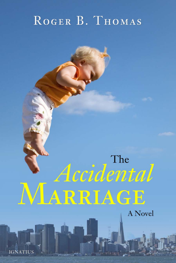# ROGER B. THOMAS

# Accidental<br>MARRIAGE

A Novel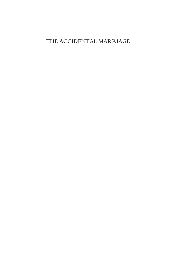## THE ACCIDENTAL MARRIAGE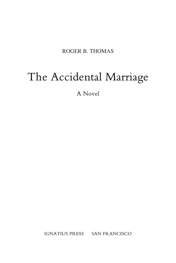ROGER B. THOMAS

# The Accidental Marriage

A Novel

IGNATIUS PRESS SAN FRANCISCO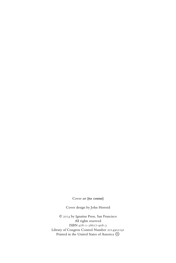### Cover art **[to come]**

Cover design by John Herreid

© 2014 by Ignatius Press, San Francisco All rights reserved ISBN 978-1-58617-908-3 Library of Congress Control Number 2014902191 Printed in the United States of America <sup>∞</sup>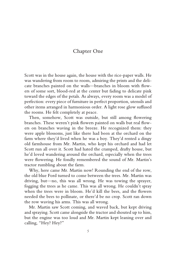### Chapter One

Scott was in the house again, the house with the rice-paper walls. He was wandering from room to room, admiring the prints and the delicate branches painted on the walls—branches in bloom with flowers of some sort, blood-red at the center but fading to delicate pink toward the edges of the petals. As always, every room was a model of perfection: every piece of furniture in perfect proportion, utensils and other items arranged in harmonious order. A light rose glow suffused the rooms. He felt completely at peace.

Then, somehow, Scott was outside, but still among flowering branches. These weren't pink flowers painted on walls but real flowers on branches waving in the breeze. He recognized them: they were apple blossoms, just like there had been at the orchard on the farm where they'd lived when he was a boy. They'd rented a dingy old farmhouse from Mr. Martin, who kept his orchard and had let Scott run all over it. Scott had hated the cramped, drafty house, but he'd loved wandering around the orchard, especially when the trees were flowering. He fondly remembered the sound of Mr. Martin's tractor rumbling about the farm.

Why, here came Mr. Martin now! Rounding the end of the row, the old blue Ford turned to come between the trees. Mr. Martin was driving, but—no, this was all wrong. He was towing the sprayer, fogging the trees as he came. This was all wrong. He couldn't spray when the trees were in bloom. He'd kill the bees, and the flowers needed the bees to pollinate, or there'd be no crop. Scott ran down the row waving his arms. This was all wrong.

Mr. Martin saw Scott coming, and waved back, but kept driving and spraying. Scott came alongside the tractor and shouted up to him, but the engine was too loud and Mr. Martin kept leaning over and calling, "Hey? Hey?"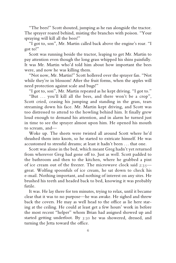"The bees!" Scott shouted, jumping as he ran alongside the tractor. The sprayer roared behind, misting the branches with poison. "Your spraying will kill all the bees!"

"I got to, son", Mr. Martin called back above the engine's roar. "I got to!"

Scott was running beside the tractor, leaping to get Mr. Martin to pay attention even though the long grass whipped his shins painfully. It was Mr. Martin who'd told him about how important the bees were, and now he was killing them.

"Not now, Mr. Martin!" Scott hollered over the sprayer fan. "Not while they're in blossom! After the fruit forms, when the apples will need protection against scale and bugs!"

"I got to, son", Mr. Martin repeated as he kept driving. "I got to." "But ... you'll kill all the bees, and there won't be a crop", Scott cried, ceasing his jumping and standing in the grass, tears streaming down his face. Mr. Martin kept driving, and Scott was too distressed to attend to the howling behind him. It finally grew loud enough to demand his attention, and in alarm he turned just in time to see the sprayer almost upon him. He opened his mouth to scream, and—

Woke up. The sheets were twisted all around Scott where he'd thrashed them into knots, so he started to extricate himself. He was accustomed to stressful dreams; at least it hadn't been ... that one.

Scott was alone in the bed, which meant Greg hadn't yet returned from wherever Greg had gone off to. Just as well. Scott padded to the bathroom and then to the kitchen, where he grabbed a pint of ice cream out of the freezer. The microwave clock said  $2:35$  great. Wolfing spoonfuls of ice cream, he sat down to check his e-mail. Nothing important, and nothing of interest on any sites. He brushed his teeth and headed back to bed, knowing it was probably futile.

It was. He lay there for ten minutes, trying to relax, until it became clear that it was to no purpose—he was awake. He sighed and threw back the covers. He may as well head to the office as lie here staring at the ceiling. He could at least get a few hours' work in before the most recent "helper" whom Brian had assigned showed up and started getting underfoot. By 3:30 he was showered, dressed, and turning the Jetta toward the office.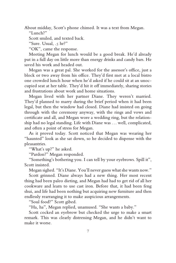About midday, Scott's phone chimed. It was a text from Megan.

"Lunch?"

Scott smiled, and texted back.

"Sure. Usual, .5 hr?"

"OK", came the response.

Meeting Megan for lunch would be a good break. He'd already put in a full day on little more than energy drinks and candy bars. He saved his work and headed out.

Megan was a great pal. She worked for the assessor's office, just a block or two away from his office. They'd first met at a local bistro one crowded lunch hour when he'd asked if he could sit at an unoccupied seat at her table. They'd hit it off immediately, sharing stories and frustrations about work and home situations.

Megan lived with her partner Diane. They weren't married. They'd planned to marry during the brief period when it had been legal, but then the window had closed. Diane had insisted on going through with the ceremony anyway, with the rings and vows and certificate and all, and Megan wore a wedding ring, but the relationship had no legal standing. Life with Diane was ... well, complicated, and often a point of stress for Megan.

As it proved today. Scott noticed that Megan was wearing her "haunted" look as she sat down, so he decided to dispense with the pleasantries.

"What's up?" he asked.

"Pardon?" Megan responded.

"Something's bothering you. I can tell by your eyebrows. Spill it", Scott insisted.

Megan sighed. "It's Diane. You'll never guess what she wants now."

Scott grinned. Diane always had a new thing. Her most recent thing had been paleo dieting, and Megan had had to get rid of all her cookware and learn to use cast iron. Before that, it had been feng shui, and life had been nothing but acquiring new furniture and then endlessly rearranging it to make auspicious arrangements.

"Soul food?" Scott gibed.

"Ha, ha", Megan replied, unamused. "She wants a baby."

Scott cocked an eyebrow but checked the urge to make a smart remark. This was clearly distressing Megan, and he didn't want to make it worse.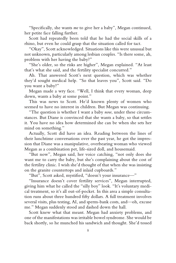"Specifically, she wants *me* to give her a baby", Megan continued, her petite face falling further.

Scott had repeatedly been told that he had the social skills of a rhino, but even he could grasp that the situation called for tact.

"Okay", Scott acknowledged. Situations like this were unusual but not unknown, particularly among lesbian couples. "Is there some, ah, problem with her having the baby?"

"She's older, so the risks are higher", Megan explained. "At least that's what she said, and the fertility specialist concurred."

Ah. That answered Scott's next question, which was whether they'd sought medical help. "So that leaves you", Scott said. "Do you want a baby?"

Megan made a wry face. "Well, I think that every woman, deep down, wants a baby at some point."

This was news to Scott. He'd known plenty of women who seemed to have no interest in children. But Megan was continuing.

"The question is whether I want a baby *now*, under these circumstances. But Diane is convinced that she wants a baby, so that settles it. You have no idea how determined she can be when she sets her mind on something."

Actually, Scott did have an idea. Reading between the lines of their lunchtime conversations over the past year, he got the impression that Diane was a manipulative, overbearing woman who viewed Megan as a combination pet, life-sized doll, and housemaid.

"But now", Megan said, her voice catching, "not only does she want me to carry the baby, but she's complaining about the cost of the fertility clinic. I wish she'd thought of that when she was insisting on the granite countertops and inlaid cupboards."

"But", Scott asked, mystified, "doesn't your insurance—"

"Insurance doesn't cover fertility services", Megan interrupted, giving him what he called the "silly boy" look. "It's voluntary medical treatment, so it's all out-of-pocket. In this area a simple consultation runs about three hundred fifty dollars. A full treatment involves several visits, plus testing, AI, and sperm-bank costs, and—oh, excuse me." Megan suddenly stood and dashed down the hall.

Scott knew what that meant. Megan had anxiety problems, and one of the manifestations was irritable bowel syndrome. She would be back shortly, so he munched his sandwich and thought. She'd tossed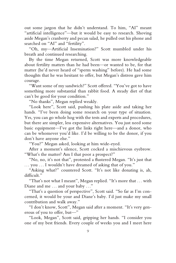out some jargon that he didn't understand. To him, "AI" meant "artificial intelligence"—but it would be easy to research. Shoving aside Megan's cranberry and pecan salad, he pulled out his phone and searched on "AI" and "fertility".

"Oh, my—Artificial Insemination?" Scott mumbled under his breath and continued researching.

By the time Megan returned, Scott was more knowledgeable about fertility matters than he had been—or wanted to be, for that matter (he'd never heard of "sperm washing" before). He had some thoughts that he was hesitant to offer, but Megan's distress gave him courage.

"Want some of my sandwich?" Scott offered. "You've got to have something more substantial than rabbit food. A steady diet of that can't be good for your condition."

"No thanks", Megan replied weakly.

"Look here", Scott said, pushing his plate aside and taking her hands. "I've been doing some research on your type of situation. Yes, you can go whole hog with the tests and experts and procedures, but there are simpler, less expensive alternatives. You just need some basic equipment—I've got the links right here—and a donor, who can be whomever you'd like. I'd be willing to be the donor, if you don't have anyone else."

"You?" Megan asked, looking at him wide-eyed.

After a moment's silence, Scott cocked a mischievous eyebrow. "What's the matter? Am I that poor a prospect?"

"No, no, it's not that", protested a flustered Megan. "It's just that ... you ... I wouldn't have dreamed of asking that of you."

"Asking what?" countered Scott. "It's not like donating is, ah, difficult."

"That's not what I meant", Megan replied. "It's more that ... with Diane and me ... and your baby ..."

"That's a question of perspective", Scott said. "So far as I'm concerned, it would be your and Diane's baby. I'd just make my small contribution and walk away."

"I don't know, Scott", Megan said after a moment. "It's very generous of you to offer, but—"

"Look, Megan", Scott said, gripping her hands. "I consider you one of my best friends. Every couple of weeks you and I meet here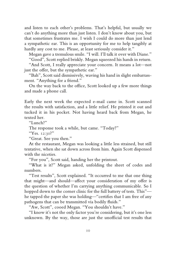and listen to each other's problems. That's helpful, but usually we can't do anything more than just listen. I don't know about you, but that sometimes frustrates me. I wish I could do more than just lend a sympathetic ear. This is an opportunity for me to help tangibly at hardly any cost to me. Please, at least seriously consider it."

Megan gave a tremulous smile. "I will. I'll talk it over with Diane."

"Good", Scott replied briskly. Megan squeezed his hands in return. "And Scott, I really appreciate your concern. It means a lot—not just the offer, but the sympathetic ear."

"Bah", Scott said dismissively, waving his hand in slight embarrassment. "Anything for a friend."

On the way back to the office, Scott looked up a few more things and made a phone call.

Early the next week the expected e-mail came in. Scott scanned the results with satisfaction, and a little relief. He printed it out and tucked it in his pocket. Not having heard back from Megan, he texted her.

"Lunch?"

The response took a while, but came. "Today?"

"Yes. 12:30?"

"Great. See you then."

At the restaurant, Megan was looking a little less strained, but still tentative, when she sat down across from him. Again Scott dispensed with the niceties.

"For you", Scott said, handing her the printout.

"What is it?" Megan asked, unfolding the sheet of codes and numbers.

"Test results", Scott explained. "It occurred to me that one thing that might—and should—affect your consideration of my offer is the question of whether I'm carrying anything communicable. So I hopped down to the corner clinic for the full battery of tests. This" he tapped the paper she was holding—"certifies that I am free of any pathogens that can be transmitted via bodily fluids."

"Aw, Scott", cooed Megan. "You shouldn't have."

"I know it's not the only factor you're considering, but it's one less unknown. By the way, those are just the unofficial test results that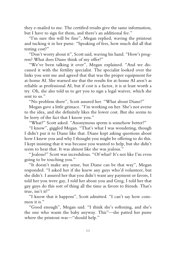they e-mailed to me. The certified results give the same information, but I have to sign for them, and there's an additional fee."

"I'm sure this will be fine", Megan replied, waving the printout and tucking it in her purse. "Speaking of fees, how much did all that testing cost?"

"Don't worry about it", Scott said, waving his hand. "How's progress? What does Diane think of my offer?"

"We've been talking it over", Megan explained. "And we discussed it with the fertility specialist. The specialist looked over the links you sent me and agreed that that was the proper equipment for at-home AI. She warned me that the results for at-home AI aren't as reliable as professional AI, but if cost is a factor, it is at least worth a try. Oh, she also told us to get you to sign a legal waiver, which she sent to us."

"No problem there", Scott assured her. "What about Diane?"

Megan gave a little grimace. "I'm working on her. She's not averse to the idea, and she definitely likes the lower cost. But she seems to be leery of the fact that I know you."

"What?" Scott asked. "Anonymous sperm is somehow better?"

"I know", giggled Megan. "That's what I was wondering, though I didn't put it to Diane like that. Diane kept asking questions about how I knew you and why I thought you might be offering to do this. I kept insisting that it was because you wanted to help, but she didn't seem to hear that. It was almost like she was jealous."

" Jealous?" Scott was incredulous. "Of what? It's not like I'm even going to be touching you."

"It doesn't make any sense, but Diane can be that way", Megan responded. "I asked her if she knew any guys who'd volunteer, but she didn't. I assured her that you didn't want any payment or favors, I told her you were gay, I told her about you and Greg, I told her that gay guys do this sort of thing all the time as favors to friends. That's true, isn't it?"

"I know that it happens", Scott admitted. "I can't say how common it is."

"Good enough", Megan said. "I think she's softening, and she's the one who wants the baby anyway. This"—she patted her purse where the printout was—"should help."